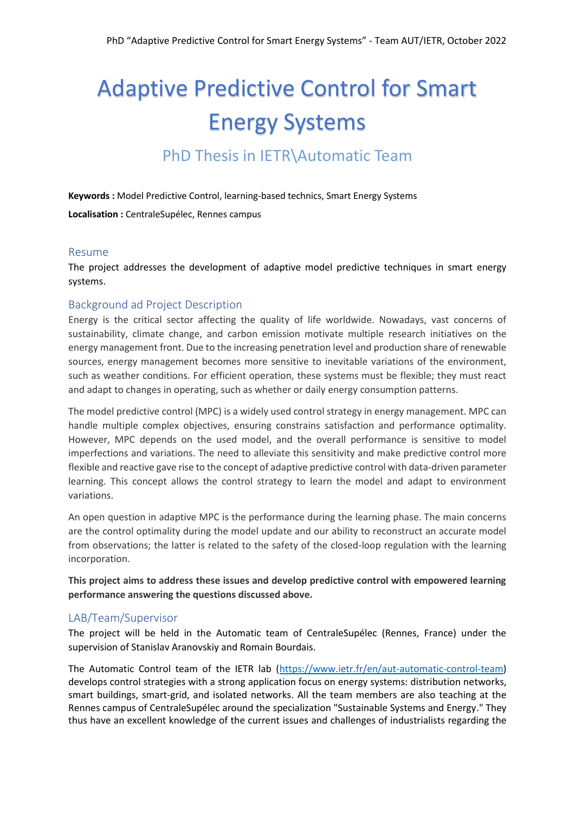# Adaptive Predictive Control for Smart Energy Systems

## PhD Thesis in IETR\Automatic Team

**Keywords :** Model Predictive Control, learning-based technics, Smart Energy Systems

**Localisation :** CentraleSupélec, Rennes campus

#### Resume

The project addresses the development of adaptive model predictive techniques in smart energy systems.

#### Background ad Project Description

Energy is the critical sector affecting the quality of life worldwide. Nowadays, vast concerns of sustainability, climate change, and carbon emission motivate multiple research initiatives on the energy management front. Due to the increasing penetration level and production share of renewable sources, energy management becomes more sensitive to inevitable variations of the environment, such as weather conditions. For efficient operation, these systems must be flexible; they must react and adapt to changes in operating, such as whether or daily energy consumption patterns.

The model predictive control (MPC) is a widely used control strategy in energy management. MPC can handle multiple complex objectives, ensuring constrains satisfaction and performance optimality. However, MPC depends on the used model, and the overall performance is sensitive to model imperfections and variations. The need to alleviate this sensitivity and make predictive control more flexible and reactive gave rise to the concept of adaptive predictive control with data-driven parameter learning. This concept allows the control strategy to learn the model and adapt to environment variations.

An open question in adaptive MPC is the performance during the learning phase. The main concerns are the control optimality during the model update and our ability to reconstruct an accurate model from observations; the latter is related to the safety of the closed-loop regulation with the learning incorporation.

**This project aims to address these issues and develop predictive control with empowered learning performance answering the questions discussed above.**

#### LAB/Team/Supervisor

The project will be held in the Automatic team of CentraleSupélec (Rennes, France) under the supervision of Stanislav Aranovskiy and Romain Bourdais.

The Automatic Control team of the IETR lab [\(https://www.ietr.fr/en/aut-automatic-control-team\)](https://www.ietr.fr/en/aut-automatic-control-team) develops control strategies with a strong application focus on energy systems: distribution networks, smart buildings, smart-grid, and isolated networks. All the team members are also teaching at the Rennes campus of CentraleSupélec around the specialization "Sustainable Systems and Energy." They thus have an excellent knowledge of the current issues and challenges of industrialists regarding the